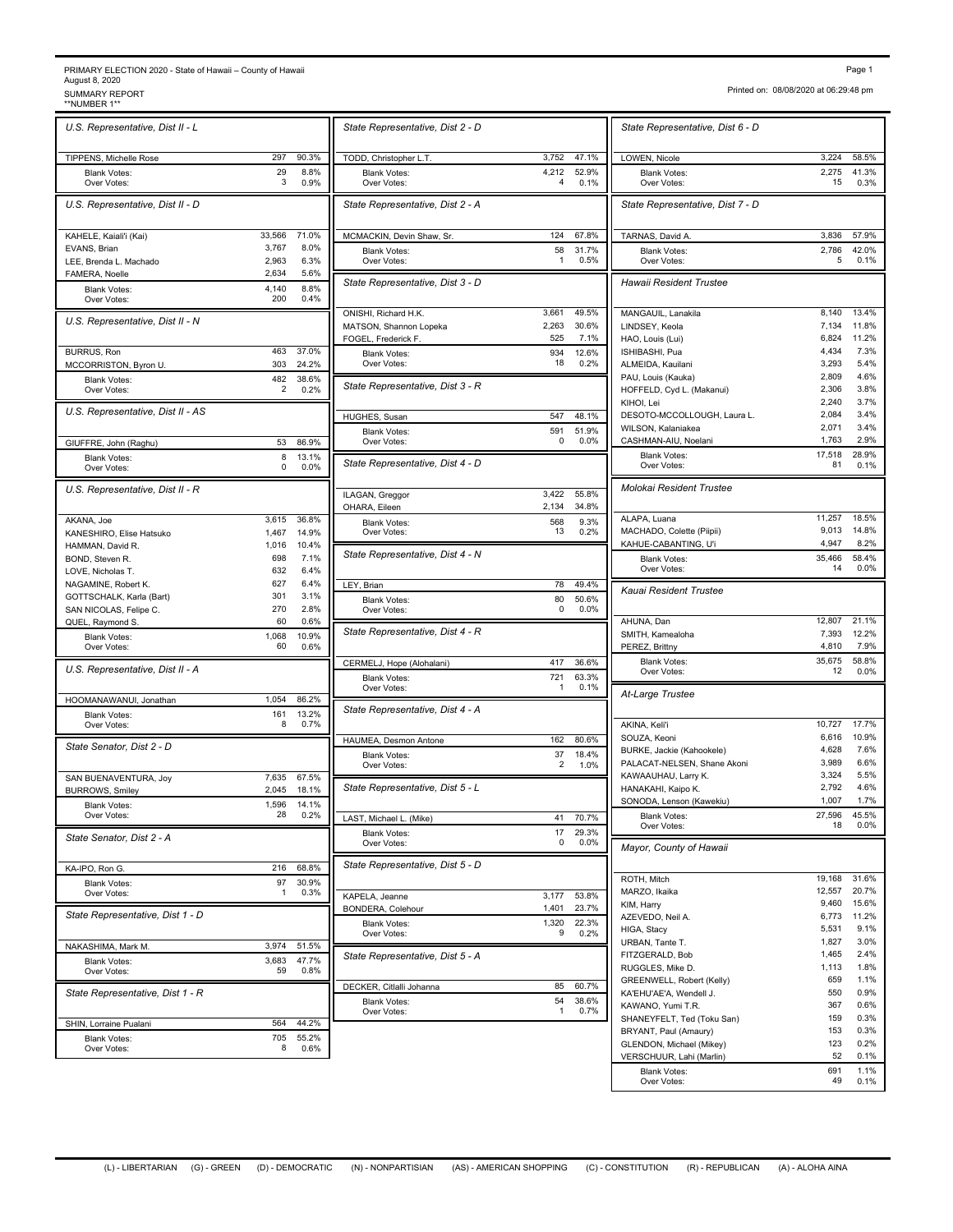## PRIMARY ELECTION 2020 - State of Hawaii – County of Hawaii<br>August 8, 2020<br>\*\*NUMBER 1\*\* THEORT<br>\*\*NUMBER 1\*\*

Printed on: 08/08/2020 at 06:29:48 pm

| **NUMBER 1**                                    |                |                |                                                                       |
|-------------------------------------------------|----------------|----------------|-----------------------------------------------------------------------|
| U.S. Representative, Dist II - L                |                |                | State Representative, Dist 2                                          |
| TIPPENS, Michelle Rose                          | 297            | 90.3%          | TODD, Christopher L.T.                                                |
| <b>Blank Votes:</b><br>Over Votes:              | 29<br>3        | 8.8%<br>0.9%   | <b>Blank Votes:</b><br>Over Votes:                                    |
| U.S. Representative, Dist II - D                |                |                | State Representative, Dist 2                                          |
| KAHELE, Kaiali'i (Kai)                          | 33,566         | 71.0%          | MCMACKIN, Devin Shaw, Sr.                                             |
| EVANS, Brian                                    | 3,767          | 8.0%           | <b>Blank Votes:</b>                                                   |
| LEE, Brenda L. Machado<br>FAMERA, Noelle        | 2,963<br>2,634 | 6.3%<br>5.6%   | Over Votes:                                                           |
| <b>Blank Votes:</b><br>Over Votes:              | 4,140<br>200   | 8.8%<br>0.4%   | State Representative, Dist 3                                          |
| U.S. Representative, Dist II - N                |                |                | ONISHI, Richard H.K.<br>MATSON, Shannon Lopeka<br>FOGEL, Frederick F. |
| <b>BURRUS, Ron</b><br>MCCORRISTON, Byron U.     | 463<br>303     | 37.0%<br>24.2% | <b>Blank Votes:</b><br>Over Votes:                                    |
| <b>Blank Votes:</b>                             | 482            | 38.6%          | State Representative, Dist 3                                          |
| Over Votes:                                     | 2              | 0.2%           |                                                                       |
| U.S. Representative, Dist II - AS               |                |                | HUGHES, Susan                                                         |
| GIUFFRE, John (Raghu)                           | 53             | 86.9%          | <b>Blank Votes:</b><br>Over Votes:                                    |
| <b>Blank Votes:</b><br>Over Votes:              | 8<br>0         | 13.1%<br>0.0%  | State Representative, Dist 4                                          |
| U.S. Representative, Dist II - R                |                |                | ILAGAN, Greggor                                                       |
| AKANA, Joe                                      | 3.615          | 36.8%          | OHARA, Eileen<br><b>Blank Votes:</b>                                  |
| KANESHIRO, Elise Hatsuko                        | 1,467          | 14.9%          | Over Votes:                                                           |
| HAMMAN, David R.                                | 1,016          | 10.4%          | State Representative, Dist 4                                          |
| BOND, Steven R.<br>LOVE, Nicholas T.            | 698<br>632     | 7.1%<br>6.4%   |                                                                       |
| NAGAMINE, Robert K.                             | 627            | 6.4%           | LEY, Brian                                                            |
| GOTTSCHALK, Karla (Bart)                        | 301            | 3.1%           | <b>Blank Votes:</b>                                                   |
| SAN NICOLAS, Felipe C.<br>QUEL, Raymond S.      | 270<br>60      | 2.8%<br>0.6%   | Over Votes:                                                           |
| <b>Blank Votes:</b><br>Over Votes:              | 1,068<br>60    | 10.9%<br>0.6%  | State Representative, Dist 4                                          |
| U.S. Representative, Dist II - A                |                |                | CERMELJ, Hope (Alohalani)                                             |
|                                                 |                |                | <b>Blank Votes:</b><br>Over Votes:                                    |
| HOOMANAWANUI, Jonathan                          | 1,054          | 86.2%          |                                                                       |
| Blank Votes:<br>Over Votes:                     | 161<br>8       | 13.2%<br>0.7%  | State Representative, Dist 4                                          |
| State Senator, Dist 2 - D                       |                |                | HAUMEA, Desmon Antone                                                 |
|                                                 |                |                | <b>Blank Votes:</b><br>Over Votes:                                    |
| SAN BUENAVENTURA, Joy<br><b>BURROWS, Smiley</b> | 7,635<br>2,045 | 67.5%<br>18.1% | State Representative, Dist &                                          |
| <b>Blank Votes:</b>                             | 1,596          | 14.1%          |                                                                       |
| Over Votes:                                     | 28             | 0.2%           | LAST, Michael L. (Mike)                                               |
| State Senator, Dist 2 - A                       |                |                | <b>Blank Votes:</b><br>Over Votes:                                    |
| KA-IPO, Ron G.                                  | 216            | 68.8%          | State Representative, Dist &                                          |
| <b>Blank Votes:</b><br>Over Votes:              | 97<br>1        | 30.9%<br>0.3%  |                                                                       |
|                                                 |                |                | KAPELA, Jeanne<br>BONDERA, Colehour                                   |
| State Representative, Dist 1 - D                |                |                | <b>Blank Votes:</b><br>Over Votes:                                    |
| NAKASHIMA, Mark M.                              | 3,974          | 51.5%          | State Representative, Dist &                                          |
| <b>Blank Votes:</b><br>Over Votes:              | 3,683<br>59    | 47.7%<br>0.8%  |                                                                       |
| State Representative, Dist 1 - R                |                |                | DECKER, Citlalli Johanna<br><b>Blank Votes:</b>                       |
| SHIN, Lorraine Pualani                          | 564            | 44.2%          | Over Votes:                                                           |
| <b>Blank Votes:</b>                             | 705            | 55.2%          |                                                                       |
| Over Votes:                                     | 8              | 0.6%           |                                                                       |

|                        | State Representative, Dist 2 - D              |              |                | State Representative, Dist t                                                   |
|------------------------|-----------------------------------------------|--------------|----------------|--------------------------------------------------------------------------------|
| 90.3%                  | TODD, Christopher L.T.                        | 3,752        | 47.1%          | LOWEN, Nicole                                                                  |
| 8.8%<br>0.9%           | <b>Blank Votes:</b><br>Over Votes:            | 4,212<br>4   | 52.9%<br>0.1%  | <b>Blank Votes:</b><br>Over Votes:                                             |
|                        | State Representative, Dist 2 - A              |              |                | State Representative, Dist                                                     |
| 71.0%                  | MCMACKIN, Devin Shaw, Sr.                     | 124          | 67.8%          | TARNAS, David A.                                                               |
| 8.0%<br>6.3%           | <b>Blank Votes:</b><br>Over Votes:            | 58<br>1      | 31.7%<br>0.5%  | <b>Blank Votes:</b><br>Over Votes:                                             |
| 5.6%<br>8.8%<br>0.4%   | State Representative, Dist 3 - D              |              |                | Hawaii Resident Trustee                                                        |
|                        | ONISHI, Richard H.K.                          | 3,661        | 49.5%<br>30.6% | MANGAUIL, Lanakila                                                             |
|                        | MATSON, Shannon Lopeka<br>FOGEL, Frederick F. | 2,263<br>525 | 7.1%           | LINDSEY, Keola<br>HAO, Louis (Lui)                                             |
| 37.0%<br>24.2%         | <b>Blank Votes:</b><br>Over Votes:            | 934<br>18    | 12.6%<br>0.2%  | ISHIBASHI, Pua<br>ALMEIDA, Kauilani                                            |
| 38.6%<br>0.2%          | State Representative, Dist 3 - R              |              |                | PAU, Louis (Kauka)<br>HOFFELD, Cyd L. (Makanui)<br>KIHOI, Lei                  |
|                        | HUGHES, Susan                                 | 547          | 48.1%          | DESOTO-MCCOLLOUGH, Laur                                                        |
| 86.9%                  | <b>Blank Votes:</b><br>Over Votes:            | 591<br>0     | 51.9%<br>0.0%  | WILSON, Kalaniakea<br>CASHMAN-AIU, Noelani                                     |
| 13.1%<br>0.0%          | State Representative, Dist 4 - D              |              |                | <b>Blank Votes:</b><br>Over Votes:                                             |
|                        | ILAGAN, Greggor                               | 3,422        | 55.8%          | Molokai Resident Trustee                                                       |
| 36.8%                  | OHARA, Eileen                                 | 2,134<br>568 | 34.8%<br>9.3%  | ALAPA, Luana                                                                   |
| 14.9%<br>10.4%         | <b>Blank Votes:</b><br>Over Votes:            | 13           | 0.2%           | MACHADO, Colette (Piipii)<br>KAHUE-CABANTING, U'i                              |
| 7.1%<br>6.4%           | State Representative, Dist 4 - N              |              |                | <b>Blank Votes:</b><br>Over Votes:                                             |
| 6.4%<br>3.1%           | LEY, Brian                                    | 78           | 49.4%          | Kauai Resident Trustee                                                         |
| 2.8%<br>0.6%           | <b>Blank Votes:</b><br>Over Votes:            | 80<br>0      | 50.6%<br>0.0%  | AHUNA, Dan                                                                     |
| 10.9%<br>0.6%          | State Representative, Dist 4 - R              |              |                | SMITH, Kamealoha<br>PEREZ, Brittny                                             |
|                        | CERMELJ, Hope (Alohalani)                     | 417          | 36.6%          | <b>Blank Votes:</b><br>Over Votes:                                             |
| 86.2%                  | <b>Blank Votes:</b><br>Over Votes:            | 721<br>1     | 63.3%<br>0.1%  | At-Large Trustee                                                               |
| 13.2%<br>0.7%          | State Representative, Dist 4 - A              |              |                | AKINA, Keli'i                                                                  |
|                        | HAUMEA, Desmon Antone                         | 162          | 80.6%          | SOUZA, Keoni                                                                   |
| 67.5%                  | <b>Blank Votes:</b><br>Over Votes:            | 37<br>2      | 18.4%<br>1.0%  | BURKE, Jackie (Kahookele)<br>PALACAT-NELSEN, Shane Ako<br>KAWAAUHAU, Larry K.  |
| 18.1%<br>14.1%         | State Representative, Dist 5 - L              |              |                | HANAKAHI, Kaipo K.<br>SONODA, Lenson (Kawekiu)                                 |
| 0.2%                   | LAST, Michael L. (Mike)                       | 41           | 70.7%          | <b>Blank Votes:</b>                                                            |
|                        | <b>Blank Votes:</b><br>Over Votes:            | 17<br>0      | 29.3%<br>0.0%  | Over Votes:<br>Mayor, County of Hawaii                                         |
| 68.8%                  | State Representative, Dist 5 - D              |              |                | ROTH, Mitch                                                                    |
| 30.9%<br>0.3%          | KAPELA, Jeanne                                | 3,177        | 53.8%          | MARZO, Ikaika                                                                  |
|                        | BONDERA, Colehour                             | 1,401        | 23.7%          | KIM, Harry<br>AZEVEDO, Neil A.                                                 |
|                        | <b>Blank Votes:</b><br>Over Votes:            | 1,320<br>9   | 22.3%<br>0.2%  | HIGA, Stacy                                                                    |
| 51.5%<br>47.7%<br>0.8% | State Representative, Dist 5 - A              |              |                | URBAN, Tante T.<br>FITZGERALD, Bob<br>RUGGLES, Mike D.                         |
|                        | DECKER, Citlalli Johanna                      | 85           | 60.7%          | GREENWELL, Robert (Kelly)                                                      |
|                        | <b>Blank Votes:</b><br>Over Votes:            | 54<br>1      | 38.6%<br>0.7%  | KA'EHU'AE'A, Wendell J.<br>KAWANO, Yumi T.R.                                   |
| 44.2%<br>55.2%         |                                               |              |                | SHANEYFELT, Ted (Toku San)<br>BRYANT, Paul (Amaury)<br>CLENDON Michael (Mikey) |

| State Representative, Dist 6 - D                  |                |               |
|---------------------------------------------------|----------------|---------------|
| LOWEN, Nicole                                     | 3,224          | 58.5%         |
| <b>Blank Votes:</b><br>Over Votes:                | 2,275<br>15    | 41.3%<br>0.3% |
| State Representative, Dist 7 - D                  |                |               |
| TARNAS, David A.                                  | 3,836          | 57.9%         |
| Blank Votes:<br>Over Votes:                       | 2,786<br>5     | 42.0%<br>0.1% |
| Hawaii Resident Trustee                           |                |               |
| MANGAUIL, Lanakila                                | 8,140          | 13.4%         |
| LINDSEY, Keola                                    | 7,134          | 11.8%         |
| HAO, Louis (Lui)                                  | 6,824          | 11.2%         |
| ISHIBASHI, Pua                                    | 4,434          | 7.3%          |
| ALMEIDA, Kauilani                                 | 3,293          | 5.4%          |
| PAU, Louis (Kauka)                                | 2,809          | 4.6%          |
| HOFFELD, Cyd L. (Makanui)                         | 2,306          | 3.8%          |
| KIHOI, Lei                                        | 2,240<br>2,084 | 3.7%<br>3.4%  |
| DESOTO-MCCOLLOUGH, Laura L.<br>WILSON, Kalaniakea | 2,071          | 3.4%          |
| CASHMAN-AIU, Noelani                              | 1,763          | 2.9%          |
| <b>Blank Votes:</b>                               | 17,518         | 28.9%         |
| Over Votes:                                       | 81             | 0.1%          |
| Molokai Resident Trustee                          |                |               |
| ALAPA, Luana                                      | 11,257         | 18.5%         |
| MACHADO, Colette (Piipii)                         | 9,013          | 14.8%         |
| KAHUE-CABANTING, U'i                              | 4,947          | 8.2%          |
| <b>Blank Votes:</b><br>Over Votes:                | 35,466<br>14   | 58.4%<br>0.0% |
| Kauai Resident Trustee                            |                |               |
|                                                   |                |               |
| AHUNA, Dan                                        | 12,807         | 21.1%         |
| SMITH, Kamealoha                                  | 7,393          | 12.2%         |
| PEREZ, Brittny                                    | 4,810          | 7.9%          |
| <b>Blank Votes:</b>                               | 35,675         | 58.8%         |
| Over Votes:                                       | 12             | 0.0%          |
| At-Large Trustee                                  |                |               |
| AKINA, Keli'i                                     | 10,727         | 17.7%         |
| SOUZA, Keoni                                      | 6,616          | 10.9%         |
| BURKE, Jackie (Kahookele)                         | 4,628          | 7.6%          |
| PALACAT-NELSEN, Shane Akoni                       | 3,989          | 6.6%          |
| KAWAAUHAU, Larry K.                               | 3,324          | 5.5%          |
| HANAKAHI, Kaipo K.                                | 2,792          | 4.6%          |
| SONODA, Lenson (Kawekiu)                          | 1,007          | 1.7%          |
| Blank Votes:                                      | 27,596         | 45.5%         |
| Over Votes:                                       | 18             | 0.0%          |
| Mayor, County of Hawaii                           |                |               |
| ROTH, Mitch                                       | 19,168         | 31.6%         |
| MARZO, Ikaika                                     | 12,557         | 20.7%         |
| KIM, Harry                                        | 9,460          | 15.6%         |
| AZEVEDO, Neil A.                                  | 6,773          | 11.2%         |
| HIGA, Stacy                                       | 5,531          | 9.1%          |
| URBAN, Tante T.                                   | 1,827          | 3.0%          |
| FITZGERALD, Bob                                   | 1,465          | 2.4%          |
| RUGGLES, Mike D.                                  | 1,113          | 1.8%          |
| GREENWELL, Robert (Kelly)                         | 659            | 1.1%          |
| KA'EHU'AE'A, Wendell J.                           | 550            | 0.9%          |
| KAWANO, Yumi T.R.                                 | 367            | 0.6%          |
| SHANEYFELT, Ted (Toku San)                        | 159            | 0.3%          |
| BRYANT, Paul (Amaury)                             | 153            | 0.3%          |
| GLENDON, Michael (Mikey)                          | 123            | 0.2%          |
| VERSCHUUR, Lahi (Marlin)                          | 52             | 0.1%          |
| <b>Blank Votes:</b>                               | 691<br>49      | 1.1%<br>0.1%  |
| Over Votes:                                       |                |               |